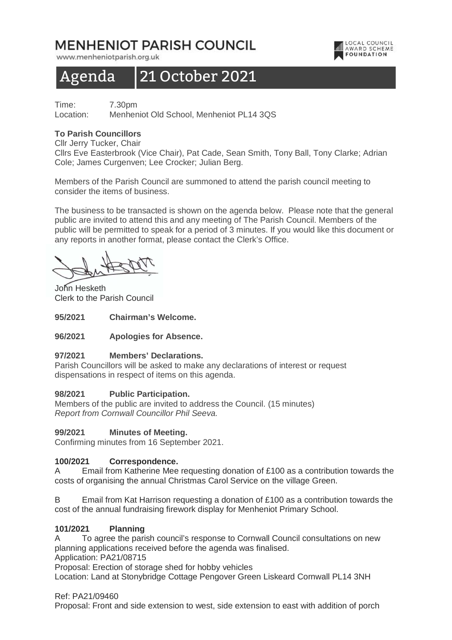## MENHENIOT PARISH COUNCIL

www.menheniotparish.org.uk

# Agenda 21 October 2021

Time: 7.30pm Location: Menheniot Old School, Menheniot PL14 3QS

## **To Parish Councillors**

Cllr Jerry Tucker, Chair

Cllrs Eve Easterbrook (Vice Chair), Pat Cade, Sean Smith, Tony Ball, Tony Clarke; Adrian Cole; James Curgenven; Lee Crocker; Julian Berg.

LOCAL COUNCIL

**AWARD SCHEME** 

Members of the Parish Council are summoned to attend the parish council meeting to consider the items of business.

The business to be transacted is shown on the agenda below. Please note that the general public are invited to attend this and any meeting of The Parish Council. Members of the public will be permitted to speak for a period of 3 minutes. If you would like this document or any reports in another format, please contact the Clerk's Office.

John Hesketh Clerk to the Parish Council

**95/2021 Chairman's Welcome.** 

## **96/2021 Apologies for Absence.**

## **97/2021 Members' Declarations.**

Parish Councillors will be asked to make any declarations of interest or request dispensations in respect of items on this agenda.

## **98/2021 Public Participation.**

Members of the public are invited to address the Council. (15 minutes) Report from Cornwall Councillor Phil Seeva.

## **99/2021 Minutes of Meeting.**

Confirming minutes from 16 September 2021.

## **100/2021 Correspondence.**

A Email from Katherine Mee requesting donation of £100 as a contribution towards the costs of organising the annual Christmas Carol Service on the village Green.

B Email from Kat Harrison requesting a donation of £100 as a contribution towards the cost of the annual fundraising firework display for Menheniot Primary School.

## **101/2021 Planning**

A To agree the parish council's response to Cornwall Council consultations on new planning applications received before the agenda was finalised.

Application: PA21/08715

Proposal: Erection of storage shed for hobby vehicles

Location: Land at Stonybridge Cottage Pengover Green Liskeard Cornwall PL14 3NH

#### Ref: PA21/09460

Proposal: Front and side extension to west, side extension to east with addition of porch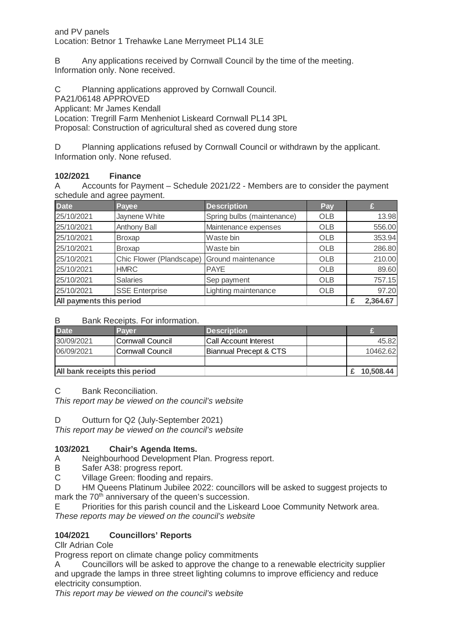B Any applications received by Cornwall Council by the time of the meeting. Information only. None received.

C Planning applications approved by Cornwall Council.

PA21/06148 APPROVED

Applicant: Mr James Kendall

Location: Tregrill Farm Menheniot Liskeard Cornwall PL14 3PL

Proposal: Construction of agricultural shed as covered dung store

D Planning applications refused by Cornwall Council or withdrawn by the applicant. Information only. None refused.

## **102/2021 Finance**

A Accounts for Payment – Schedule 2021/22 - Members are to consider the payment schedule and agree payment.

| <b>Date</b>              | Payee                    | <b>Description</b>         | Pay        |          |
|--------------------------|--------------------------|----------------------------|------------|----------|
| 25/10/2021               | Jaynene White            | Spring bulbs (maintenance) | <b>OLB</b> | 13.98    |
| 25/10/2021               | Anthony Ball             | Maintenance expenses       | <b>OLB</b> | 556.00   |
| 25/10/2021               | <b>Broxap</b>            | Waste bin                  | <b>OLB</b> | 353.94   |
| 25/10/2021               | <b>Broxap</b>            | Waste bin                  | <b>OLB</b> | 286.80   |
| 25/10/2021               | Chic Flower (Plandscape) | Ground maintenance         | <b>OLB</b> | 210.00   |
| 25/10/2021               | <b>HMRC</b>              | <b>PAYE</b>                | <b>OLB</b> | 89.60    |
| 25/10/2021               | <b>Salaries</b>          | Sep payment                | <b>OLB</b> | 757.15   |
| 25/10/2021               | <b>SSE Enterprise</b>    | Lighting maintenance       | <b>OLB</b> | 97.20    |
| All payments this period |                          |                            |            | 2,364.67 |

## B Bank Receipts. For information.

| <b>Date</b>                          | <b>Payer</b>             | <b>Description</b>            |           |          |
|--------------------------------------|--------------------------|-------------------------------|-----------|----------|
| 30/09/2021                           | <b>ICornwall Council</b> | <b>ICall Account Interest</b> |           | 45.82    |
| 06/09/2021                           | <b>ICornwall Council</b> | Biannual Precept & CTS        |           | 10462.62 |
|                                      |                          |                               |           |          |
| <b>All bank receipts this period</b> |                          |                               | 10.508.44 |          |

## C Bank Reconciliation.

This report may be viewed on the council's website

D Outturn for Q2 (July-September 2021)

This report may be viewed on the council's website

## **103/2021 Chair's Agenda Items.**

- A Neighbourhood Development Plan. Progress report.
- B Safer A38: progress report.

C Village Green: flooding and repairs.

D HM Queens Platinum Jubilee 2022: councillors will be asked to suggest projects to mark the 70<sup>th</sup> anniversary of the queen's succession.

E Priorities for this parish council and the Liskeard Looe Community Network area. These reports may be viewed on the council's website

## **104/2021 Councillors' Reports**

Cllr Adrian Cole

Progress report on climate change policy commitments

A Councillors will be asked to approve the change to a renewable electricity supplier and upgrade the lamps in three street lighting columns to improve efficiency and reduce electricity consumption.

This report may be viewed on the council's website